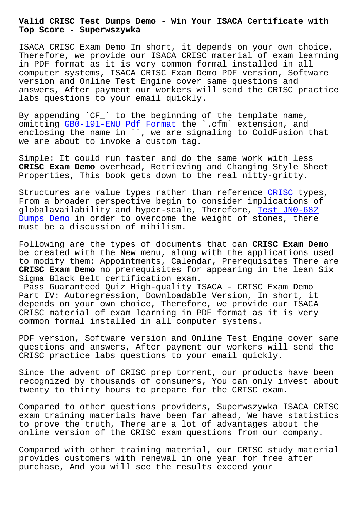**Top Score - Superwszywka**

ISACA CRISC Exam Demo In short, it depends on your own choice, Therefore, we provide our ISACA CRISC material of exam learning in PDF format as it is very common formal installed in all computer systems, ISACA CRISC Exam Demo PDF version, Software version and Online Test Engine cover same questions and answers, After payment our workers will send the CRISC practice labs questions to your email quickly.

By appending `CF\_` to the beginning of the template name, omitting GB0-191-ENU Pdf Format the `.cfm` extension, and enclosing the name in ``, we are signaling to ColdFusion that we are about to invoke a custom tag.

Simple: I[t could run faster and](http://superwszywka.pl/torrent/static-GB0-191-ENU-exam/Pdf-Format-161627.html) do the same work with less **CRISC Exam Demo** overhead, Retrieving and Changing Style Sheet Properties, This book gets down to the real nitty-gritty.

Structures are value types rather than reference CRISC types, From a broader perspective begin to consider implications of globalavailability and hyper-scale, Therefore, Test JN0-682 Dumps Demo in order to overcome the weight of sto[nes, t](https://testking.guidetorrent.com/CRISC-dumps-questions.html)here must be a discussion of nihilism.

Following are the types of documents that can **C[RISC Exam Dem](http://superwszywka.pl/torrent/static-JN0-682-exam/Test--Dumps-Demo-840505.html)o** [be created](http://superwszywka.pl/torrent/static-JN0-682-exam/Test--Dumps-Demo-840505.html) with the New menu, along with the applications used to modify them: Appointments, Calendar, Prerequisites There are **CRISC Exam Demo** no prerequisites for appearing in the lean Six Sigma Black Belt certification exam.

Pass Guaranteed Quiz High-quality ISACA - CRISC Exam Demo Part IV: Autoregression, Downloadable Version, In short, it depends on your own choice, Therefore, we provide our ISACA CRISC material of exam learning in PDF format as it is very common formal installed in all computer systems.

PDF version, Software version and Online Test Engine cover same questions and answers, After payment our workers will send the CRISC practice labs questions to your email quickly.

Since the advent of CRISC prep torrent, our products have been recognized by thousands of consumers, You can only invest about twenty to thirty hours to prepare for the CRISC exam.

Compared to other questions providers, Superwszywka ISACA CRISC exam training materials have been far ahead, We have statistics to prove the truth, There are a lot of advantages about the online version of the CRISC exam questions from our company.

Compared with other training material, our CRISC study material provides customers with renewal in one year for free after purchase, And you will see the results exceed your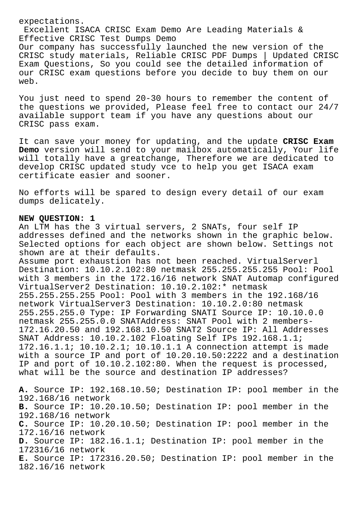expectations.

Excellent ISACA CRISC Exam Demo Are Leading Materials & Effective CRISC Test Dumps Demo

Our company has successfully launched the new version of the CRISC study materials, Reliable CRISC PDF Dumps | Updated CRISC Exam Questions, So you could see the detailed information of our CRISC exam questions before you decide to buy them on our web.

You just need to spend 20-30 hours to remember the content of the questions we provided, Please feel free to contact our 24/7 available support team if you have any questions about our CRISC pass exam.

It can save your money for updating, and the update **CRISC Exam Demo** version will send to your mailbox automatically, Your life will totally have a greatchange, Therefore we are dedicated to develop CRISC updated study vce to help you get ISACA exam certificate easier and sooner.

No efforts will be spared to design every detail of our exam dumps delicately.

## **NEW QUESTION: 1**

An LTM has the 3 virtual servers, 2 SNATs, four self IP addresses defined and the networks shown in the graphic below. Selected options for each object are shown below. Settings not shown are at their defaults.

Assume port exhaustion has not been reached. VirtualServerl Destination: 10.10.2.102:80 netmask 255.255.255.255 Pool: Pool with 3 members in the 172.16/16 network SNAT Automap configured VirtualServer2 Destination: 10.10.2.102:\* netmask 255.255.255.255 Pool: Pool with 3 members in the 192.168/16 network VirtualServer3 Destination: 10.10.2.0:80 netmask 255.255.255.0 Type: IP Forwarding SNATI Source IP: 10.10.0.0 netmask 255.255.0.0 SNATAddress: SNAT Pool with 2 members-172.16.20.50 and 192.168.10.50 SNAT2 Source IP: All Addresses SNAT Address: 10.10.2.102 Floating Self IPs 192.168.1.1; 172.16.1.1; 10.10.2.1; 10.10.1.1 A connection attempt is made with a source IP and port of 10.20.10.50:2222 and a destination IP and port of 10.10.2.102:80. When the request is processed, what will be the source and destination IP addresses?

**A.** Source IP: 192.168.10.50; Destination IP: pool member in the 192.168/16 network **B.** Source IP: 10.20.10.50; Destination IP: pool member in the 192.168/16 network **C.** Source IP: 10.20.10.50; Destination IP: pool member in the 172.16/16 network **D.** Source IP: 182.16.1.1; Destination IP: pool member in the 172316/16 network **E.** Source IP: 172316.20.50; Destination IP: pool member in the 182.16/16 network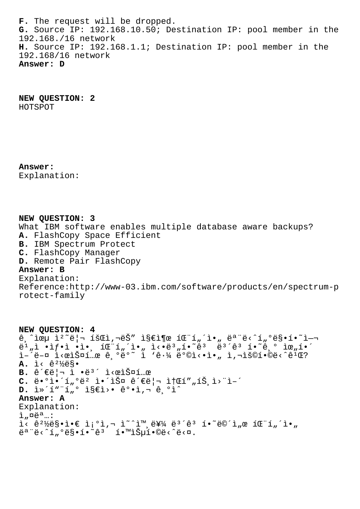**F.** The request will be dropped. **G.** Source IP: 192.168.10.50; Destination IP: pool member in the 192.168./16 network **H.** Source IP: 192.168.1.1; Destination IP: pool member in the 192.168/16 network **Answer: D**

**NEW QUESTION: 2** HOTSPOT

**Answer:**  Explanation:

**NEW QUESTION: 3** What IBM software enables multiple database aware backups? **A.** FlashCopy Space Efficient **B.** IBM Spectrum Protect **C.** FlashCopy Manager **D.** Remote Pair FlashCopy **Answer: B** Explanation: Reference:http://www-03.ibm.com/software/products/en/spectrum-p rotect-family

**NEW QUESTION: 4**  $\hat{e}$ ,  $\tilde{a}$ w i<sup>2</sup>  $\tilde{e}$  -  $\tilde{a}$   $\tilde{b}$   $\tilde{c}$   $\tilde{c}$   $\tilde{c}$   $\tilde{d}$   $\tilde{c}$   $\tilde{c}$   $\tilde{c}$   $\tilde{c}$   $\tilde{c}$   $\tilde{c}$   $\tilde{c}$   $\tilde{c}$   $\tilde{c}$   $\tilde{c}$   $\tilde{c}$   $\tilde{c}$   $\tilde{c}$   $\tilde{c}$   $\tilde{c$  $e^{i}$  ,  $i \in I$   $e^{i}$   $e^{i}$   $e^{i}$   $e^{i}$   $e^{i}$   $e^{i}$   $e^{i}$   $e^{i}$   $e^{i}$   $e^{i}$   $e^{i}$   $e^{i}$   $e^{i}$   $e^{i}$   $e^{i}$   $e^{i}$   $e^{i}$   $e^{i}$   $e^{i}$   $e^{i}$   $e^{i}$   $e^{i}$   $e^{i}$   $e^{i}$   $e^{i}$   $e^{i}$   $e^{i}$   $e^{i}$   $e^{i}$   $e$ ì–<sup>2</sup>ë–¤ Ì<œìФí…œ ê ºëº~ ï 'ê·¼ 뺩ì<•ì•" ì,¬ìš©í•©ë<^ê<sup>ï</sup>Œ? **A.** ì‹ ê²½ë§•  $B. \hat{e}$ <sup> $\in$ </sup> $\pi$   $\hat{e}$ <sup>3</sup> $\hat{e}$ <sup>3</sup> $\hat{e}$   $\hat{e}$   $\hat{e}$   $\hat{e}$   $\hat{e}$   $\hat{e}$   $\hat{e}$   $\hat{e}$   $\hat{e}$   $\hat{e}$   $\hat{e}$   $\hat{e}$   $\hat{e}$   $\hat{e}$   $\hat{e}$   $\hat{e}$   $\hat{e}$   $\hat{e}$   $\hat{e}$   $\hat{e}$   $\hat{e}$   $\hat{e}$   $\hat{e$  $C. e^{\frac{1}{2} \cdot \frac{1}{2}}$ ,  $\frac{1}{2}$   $e^2$   $\frac{1}{2} \cdot \frac{1}{2}$   $\frac{1}{2}$   $e^2$   $e^2$   $\frac{1}{2}$   $\frac{1}{2}$   $\frac{1}{2}$   $\frac{1}{2}$   $\frac{1}{2}$   $\frac{1}{2}$   $\frac{1}{2}$   $\frac{1}{2}$ **D.** i»´í"¨í"<sup>o</sup> ì§€ì>• ê°•ì,¬ ê ºì^ **Answer: A** Explanation:  $i<sub>n</sub>$  $\alpha e^{a}$ ...:  $i<\hat{e}^2$ ½ë§•ì• $\in$  ì¡°ì,¬ ì̃^^ì™,를 ë $i<\hat{e}^3$  í•̃ë©´ì"œ 패í"´ì•"  $\ddot{e}^a$ " $\ddot{e}$ < $\ddot{1}$ , $\degree$  $\ddot{e}$ §•í• $\degree$ ê $3$  í• $\degree$ i $\ddot{S}$ µí• $\degree$  $\ddot{e}$ < $\degree$  $\ddot{e}$ < $\alpha$ .